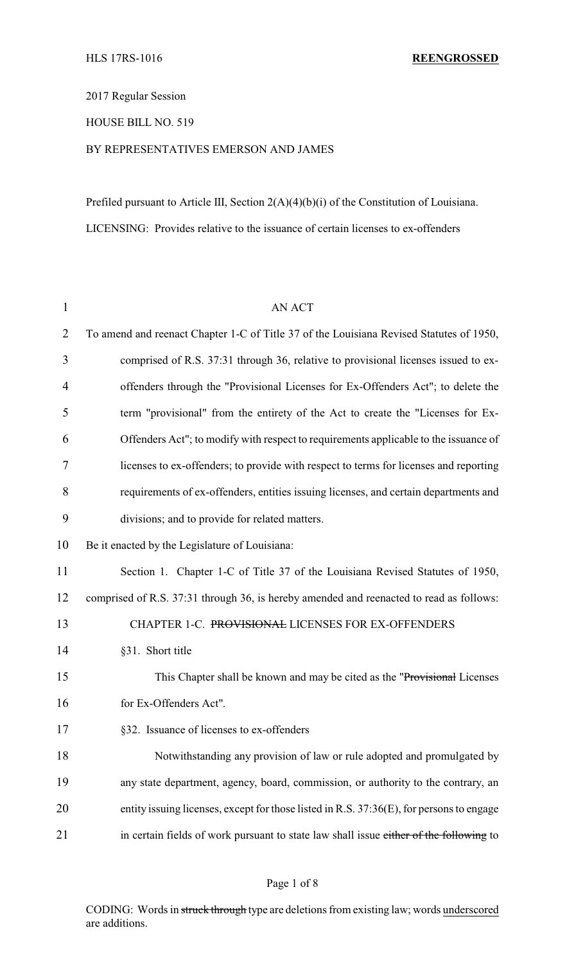2017 Regular Session

HOUSE BILL NO. 519

## BY REPRESENTATIVES EMERSON AND JAMES

Prefiled pursuant to Article III, Section 2(A)(4)(b)(i) of the Constitution of Louisiana. LICENSING: Provides relative to the issuance of certain licenses to ex-offenders

| $\mathbf{1}$   | <b>AN ACT</b>                                                                            |  |
|----------------|------------------------------------------------------------------------------------------|--|
| $\overline{2}$ | To amend and reenact Chapter 1-C of Title 37 of the Louisiana Revised Statutes of 1950,  |  |
| 3              | comprised of R.S. 37:31 through 36, relative to provisional licenses issued to ex-       |  |
| 4              | offenders through the "Provisional Licenses for Ex-Offenders Act"; to delete the         |  |
| 5              | term "provisional" from the entirety of the Act to create the "Licenses for Ex-          |  |
| 6              | Offenders Act"; to modify with respect to requirements applicable to the issuance of     |  |
| 7              | licenses to ex-offenders; to provide with respect to terms for licenses and reporting    |  |
| 8              | requirements of ex-offenders, entities issuing licenses, and certain departments and     |  |
| 9              | divisions; and to provide for related matters.                                           |  |
| 10             | Be it enacted by the Legislature of Louisiana:                                           |  |
| 11             | Section 1. Chapter 1-C of Title 37 of the Louisiana Revised Statutes of 1950,            |  |
| 12             | comprised of R.S. 37:31 through 36, is hereby amended and reenacted to read as follows:  |  |
| 13             | CHAPTER 1-C. PROVISIONAL LICENSES FOR EX-OFFENDERS                                       |  |
| 14             | §31. Short title                                                                         |  |
| 15             | This Chapter shall be known and may be cited as the "Provisional Licenses"               |  |
| 16             | for Ex-Offenders Act".                                                                   |  |
| 17             | §32. Issuance of licenses to ex-offenders                                                |  |
| 18             | Notwithstanding any provision of law or rule adopted and promulgated by                  |  |
| 19             | any state department, agency, board, commission, or authority to the contrary, an        |  |
| 20             | entity issuing licenses, except for those listed in R.S. 37:36(E), for persons to engage |  |
| 21             | in certain fields of work pursuant to state law shall issue either of the following to   |  |

CODING: Words in struck through type are deletions from existing law; words underscored are additions.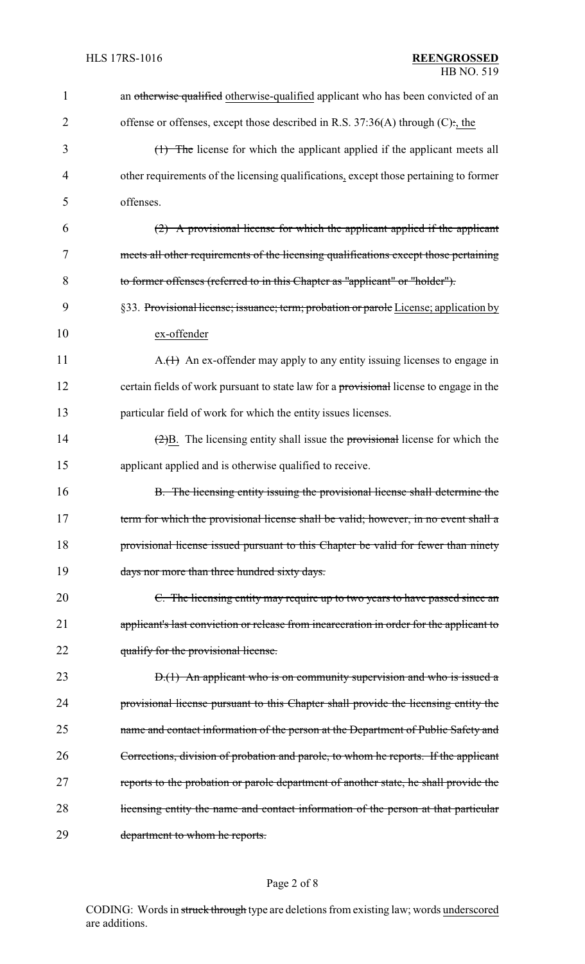| $\mathbf{1}$   | an otherwise qualified otherwise-qualified applicant who has been convicted of an                    |  |
|----------------|------------------------------------------------------------------------------------------------------|--|
| $\overline{2}$ | offense or offenses, except those described in R.S. $37:36(A)$ through (C):, the                     |  |
| 3              | (1) The license for which the applicant applied if the applicant meets all                           |  |
| 4              | other requirements of the licensing qualifications, except those pertaining to former                |  |
| 5              | offenses.                                                                                            |  |
| 6              | $(2)$ A provisional license for which the applicant applied if the applicant                         |  |
| 7              | meets all other requirements of the licensing qualifications except those pertaining                 |  |
| 8              | to former offenses (referred to in this Chapter as "applicant" or "holder").                         |  |
| 9              | §33. Provisional license; issuance; term; probation or parole License; application by                |  |
| 10             | ex-offender                                                                                          |  |
| 11             | $A_{\cdot}(1)$ An ex-offender may apply to any entity issuing licenses to engage in                  |  |
| 12             | certain fields of work pursuant to state law for a provisional license to engage in the              |  |
| 13             | particular field of work for which the entity issues licenses.                                       |  |
| 14             | $\left(\frac{2}{2}\right)B$ . The licensing entity shall issue the provisional license for which the |  |
| 15             | applicant applied and is otherwise qualified to receive.                                             |  |
| 16             | B. The licensing entity issuing the provisional license shall determine the                          |  |
| 17             | term for which the provisional license shall be valid; however, in no event shall a                  |  |
| 18             | provisional license issued pursuant to this Chapter be valid for fewer than ninety                   |  |
| 19             | days nor more than three hundred sixty days.                                                         |  |
| 20             | C. The licensing entity may require up to two years to have passed since an                          |  |
| 21             | applicant's last conviction or release from incarceration in order for the applicant to              |  |
| 22             | qualify for the provisional license.                                                                 |  |
| 23             | $D1(1)$ An applicant who is on community supervision and who is issued a                             |  |
| 24             | provisional license pursuant to this Chapter shall provide the licensing entity the                  |  |
| 25             | name and contact information of the person at the Department of Public Safety and                    |  |
| 26             | Corrections, division of probation and parole, to whom he reports. If the applicant                  |  |
| 27             | reports to the probation or parole department of another state, he shall provide the                 |  |
| 28             | licensing entity the name and contact information of the person at that particular                   |  |
| 29             | department to whom he reports.                                                                       |  |

## Page 2 of 8

CODING: Words in struck through type are deletions from existing law; words underscored are additions.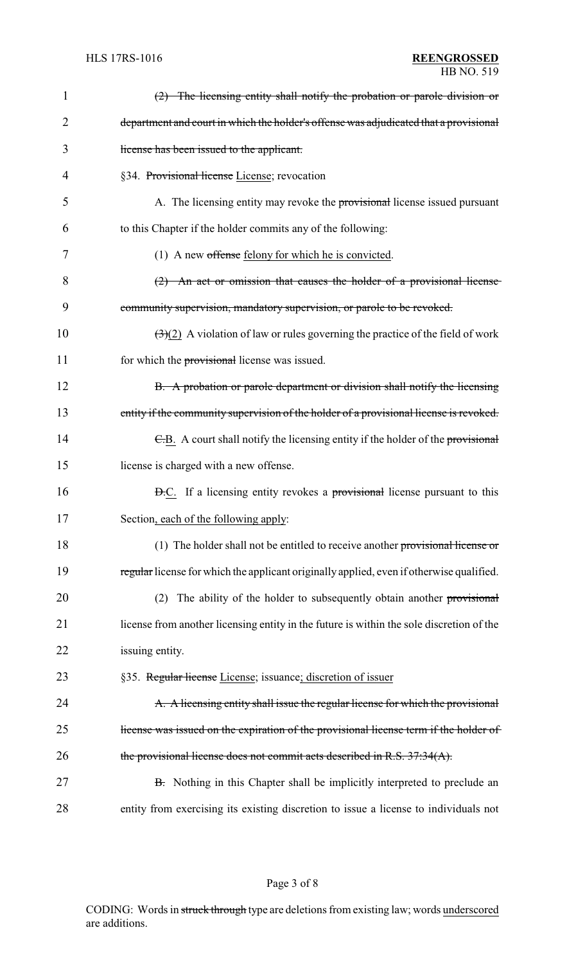| $\mathbf 1$    | $(2)$ The licensing entity shall notify the probation or parole division or                           |
|----------------|-------------------------------------------------------------------------------------------------------|
| $\overline{2}$ | department and court in which the holder's offense was adjudicated that a provisional                 |
| 3              | license has been issued to the applicant.                                                             |
| 4              | §34. Provisional license License; revocation                                                          |
| 5              | A. The licensing entity may revoke the provisional license issued pursuant                            |
| 6              | to this Chapter if the holder commits any of the following:                                           |
| 7              | (1) A new offense felony for which he is convicted.                                                   |
| 8              | $(2)$ An act or omission that causes the holder of a provisional license                              |
| 9              | community supervision, mandatory supervision, or parole to be revoked.                                |
| 10             | $\left(\frac{1}{2}\right)(2)$ A violation of law or rules governing the practice of the field of work |
| 11             | for which the provisional license was issued.                                                         |
| 12             | B. A probation or parole department or division shall notify the licensing                            |
| 13             | entity if the community supervision of the holder of a provisional license is revoked.                |
| 14             | E.B. A court shall notify the licensing entity if the holder of the provisional                       |
| 15             | license is charged with a new offense.                                                                |
| 16             | <b>D.C.</b> If a licensing entity revokes a provisional license pursuant to this                      |
| 17             | Section, each of the following apply:                                                                 |
| 18             | (1) The holder shall not be entitled to receive another provisional license or                        |
| 19             | regular license for which the applicant originally applied, even if otherwise qualified.              |
| 20             | The ability of the holder to subsequently obtain another provisional<br>(2)                           |
| 21             | license from another licensing entity in the future is within the sole discretion of the              |
| 22             | issuing entity.                                                                                       |
| 23             | §35. Regular license License; issuance; discretion of issuer                                          |
| 24             | A. A licensing entity shall issue the regular license for which the provisional                       |
| 25             | license was issued on the expiration of the provisional license term if the holder of                 |
| 26             | the provisional license does not commit acts described in R.S. 37:34(A).                              |
| 27             | B. Nothing in this Chapter shall be implicitly interpreted to preclude an                             |
| 28             | entity from exercising its existing discretion to issue a license to individuals not                  |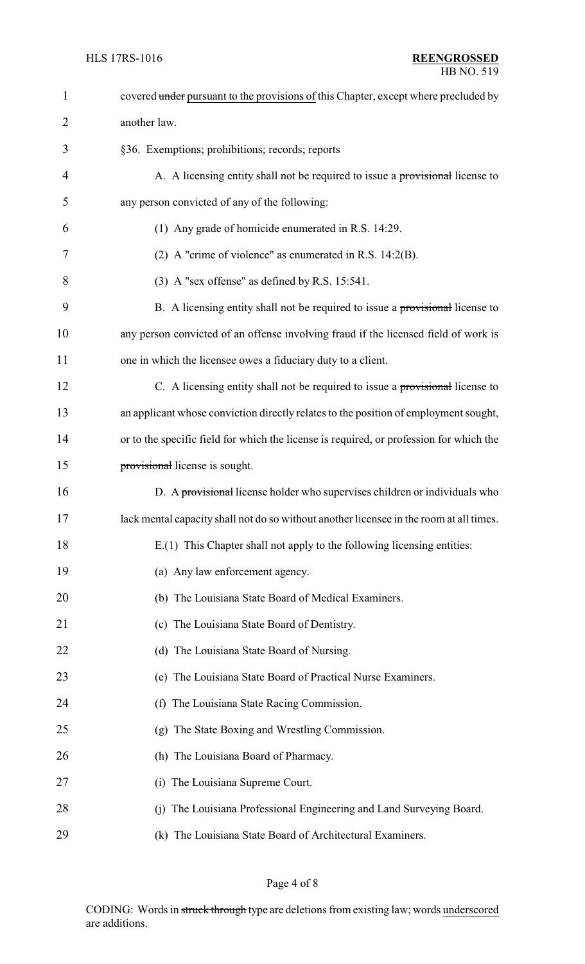| $\mathbf{1}$   | covered under pursuant to the provisions of this Chapter, except where precluded by     |
|----------------|-----------------------------------------------------------------------------------------|
| $\overline{2}$ | another law.                                                                            |
| 3              | §36. Exemptions; prohibitions; records; reports                                         |
| 4              | A. A licensing entity shall not be required to issue a provisional license to           |
| 5              | any person convicted of any of the following:                                           |
| 6              | (1) Any grade of homicide enumerated in R.S. 14:29.                                     |
| 7              | (2) A "crime of violence" as enumerated in R.S. $14:2(B)$ .                             |
| 8              | $(3)$ A "sex offense" as defined by R.S. 15:541.                                        |
| 9              | B. A licensing entity shall not be required to issue a provisional license to           |
| 10             | any person convicted of an offense involving fraud if the licensed field of work is     |
| 11             | one in which the licensee owes a fiduciary duty to a client.                            |
| 12             | C. A licensing entity shall not be required to issue a provisional license to           |
| 13             | an applicant whose conviction directly relates to the position of employment sought,    |
| 14             | or to the specific field for which the license is required, or profession for which the |
| 15             | provisional license is sought.                                                          |
| 16             | D. A provisional license holder who supervises children or individuals who              |
| 17             | lack mental capacity shall not do so without another licensee in the room at all times. |
| 18             | E.(1) This Chapter shall not apply to the following licensing entities:                 |
| 19             | (a) Any law enforcement agency.                                                         |
| 20             | (b) The Louisiana State Board of Medical Examiners.                                     |
| 21             | (c) The Louisiana State Board of Dentistry.                                             |
| 22             | (d) The Louisiana State Board of Nursing.                                               |
| 23             | (e) The Louisiana State Board of Practical Nurse Examiners.                             |
| 24             | (f) The Louisiana State Racing Commission.                                              |
| 25             | (g) The State Boxing and Wrestling Commission.                                          |
| 26             | (h) The Louisiana Board of Pharmacy.                                                    |
| 27             | (i) The Louisiana Supreme Court.                                                        |
| 28             | (j) The Louisiana Professional Engineering and Land Surveying Board.                    |
| 29             | (k) The Louisiana State Board of Architectural Examiners.                               |

Page 4 of 8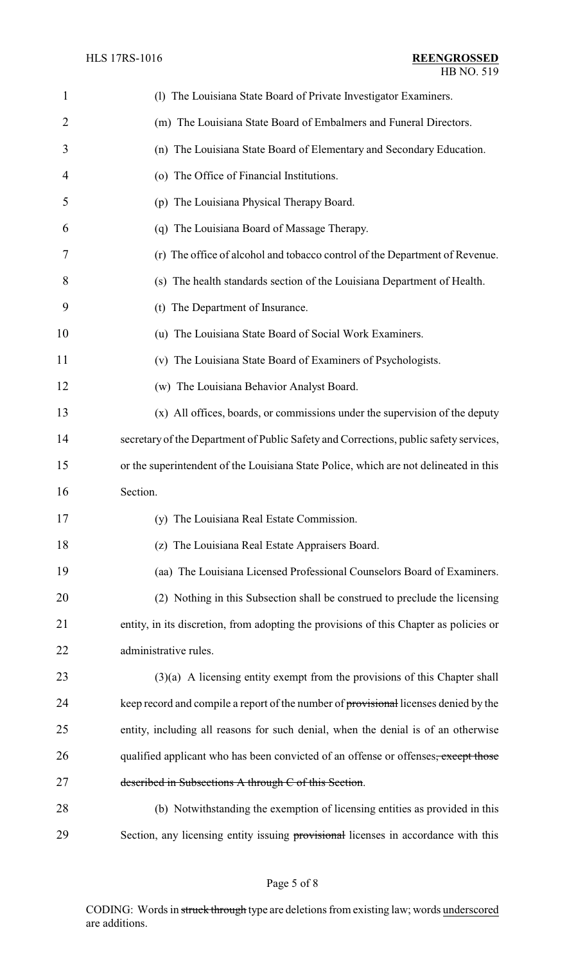| 1              | (1) The Louisiana State Board of Private Investigator Examiners.                       |
|----------------|----------------------------------------------------------------------------------------|
| $\overline{2}$ | (m) The Louisiana State Board of Embalmers and Funeral Directors.                      |
| 3              | (n) The Louisiana State Board of Elementary and Secondary Education.                   |
| 4              | (o) The Office of Financial Institutions.                                              |
| 5              | (p) The Louisiana Physical Therapy Board.                                              |
| 6              | (q) The Louisiana Board of Massage Therapy.                                            |
| 7              | (r) The office of alcohol and tobacco control of the Department of Revenue.            |
| 8              | (s) The health standards section of the Louisiana Department of Health.                |
| 9              | (t) The Department of Insurance.                                                       |
| 10             | (u) The Louisiana State Board of Social Work Examiners.                                |
| 11             | (v) The Louisiana State Board of Examiners of Psychologists.                           |
| 12             | (w) The Louisiana Behavior Analyst Board.                                              |
| 13             | (x) All offices, boards, or commissions under the supervision of the deputy            |
| 14             | secretary of the Department of Public Safety and Corrections, public safety services,  |
| 15             | or the superintendent of the Louisiana State Police, which are not delineated in this  |
| 16             | Section.                                                                               |
| 17             | (y) The Louisiana Real Estate Commission.                                              |
| 18             | (z) The Louisiana Real Estate Appraisers Board.                                        |
| 19             | (aa) The Louisiana Licensed Professional Counselors Board of Examiners.                |
| 20             | (2) Nothing in this Subsection shall be construed to preclude the licensing            |
| 21             | entity, in its discretion, from adopting the provisions of this Chapter as policies or |
| 22             | administrative rules.                                                                  |
| 23             | $(3)(a)$ A licensing entity exempt from the provisions of this Chapter shall           |
| 24             | keep record and compile a report of the number of provisional licenses denied by the   |
| 25             | entity, including all reasons for such denial, when the denial is of an otherwise      |
| 26             | qualified applicant who has been convicted of an offense or offenses, except those     |
| 27             | described in Subsections A through C of this Section.                                  |
| 28             | (b) Notwithstanding the exemption of licensing entities as provided in this            |
| 29             | Section, any licensing entity issuing provisional licenses in accordance with this     |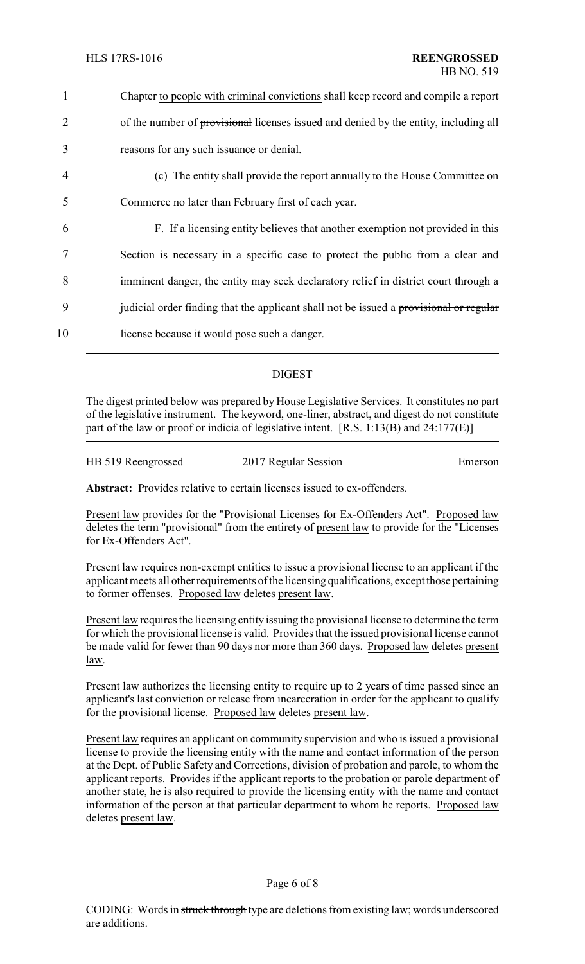| 1              | Chapter to people with criminal convictions shall keep record and compile a report     |
|----------------|----------------------------------------------------------------------------------------|
| $\overline{2}$ | of the number of provisional licenses issued and denied by the entity, including all   |
| 3              | reasons for any such issuance or denial.                                               |
| $\overline{4}$ | (c) The entity shall provide the report annually to the House Committee on             |
| 5              | Commerce no later than February first of each year.                                    |
| 6              | F. If a licensing entity believes that another exemption not provided in this          |
|                | Section is necessary in a specific case to protect the public from a clear and         |
| 8              | imminent danger, the entity may seek declaratory relief in district court through a    |
| 9              | judicial order finding that the applicant shall not be issued a provisional or regular |
| 10             | license because it would pose such a danger.                                           |

## DIGEST

The digest printed below was prepared by House Legislative Services. It constitutes no part of the legislative instrument. The keyword, one-liner, abstract, and digest do not constitute part of the law or proof or indicia of legislative intent. [R.S. 1:13(B) and 24:177(E)]

| HB 519 Reengrossed | 2017 Regular Session | Emerson |
|--------------------|----------------------|---------|
|                    |                      |         |

**Abstract:** Provides relative to certain licenses issued to ex-offenders.

Present law provides for the "Provisional Licenses for Ex-Offenders Act". Proposed law deletes the term "provisional" from the entirety of present law to provide for the "Licenses for Ex-Offenders Act".

Present law requires non-exempt entities to issue a provisional license to an applicant if the applicant meets all other requirements of the licensing qualifications, except those pertaining to former offenses. Proposed law deletes present law.

Present law requires the licensing entity issuing the provisional license to determine the term for which the provisional license is valid. Provides that the issued provisional license cannot be made valid for fewer than 90 days nor more than 360 days. Proposed law deletes present law.

Present law authorizes the licensing entity to require up to 2 years of time passed since an applicant's last conviction or release from incarceration in order for the applicant to qualify for the provisional license. Proposed law deletes present law.

Present law requires an applicant on community supervision and who is issued a provisional license to provide the licensing entity with the name and contact information of the person at the Dept. of Public Safety and Corrections, division of probation and parole, to whom the applicant reports. Provides if the applicant reports to the probation or parole department of another state, he is also required to provide the licensing entity with the name and contact information of the person at that particular department to whom he reports. Proposed law deletes present law.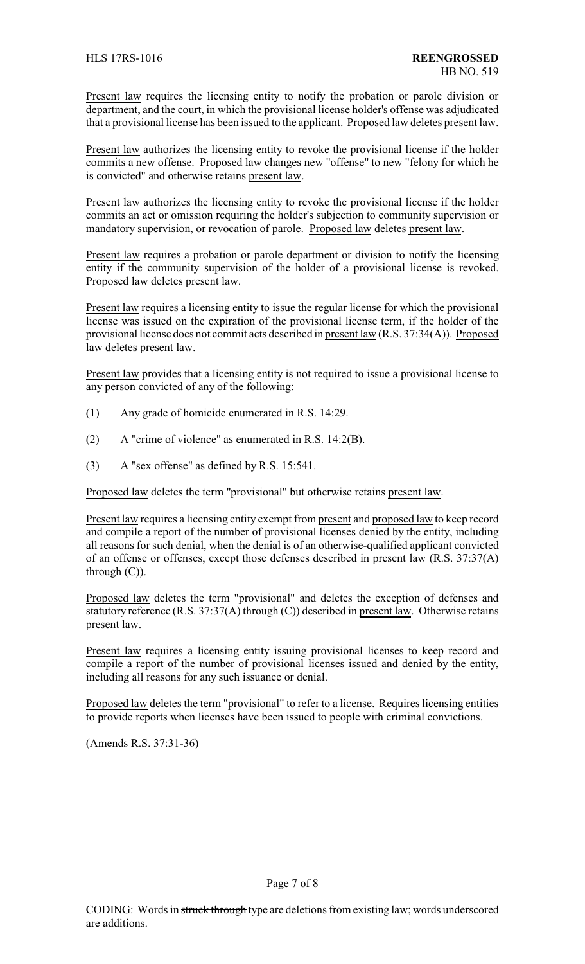Present law requires the licensing entity to notify the probation or parole division or department, and the court, in which the provisional license holder's offense was adjudicated that a provisional license has been issued to the applicant. Proposed law deletes present law.

Present law authorizes the licensing entity to revoke the provisional license if the holder commits a new offense. Proposed law changes new "offense" to new "felony for which he is convicted" and otherwise retains present law.

Present law authorizes the licensing entity to revoke the provisional license if the holder commits an act or omission requiring the holder's subjection to community supervision or mandatory supervision, or revocation of parole. Proposed law deletes present law.

Present law requires a probation or parole department or division to notify the licensing entity if the community supervision of the holder of a provisional license is revoked. Proposed law deletes present law.

Present law requires a licensing entity to issue the regular license for which the provisional license was issued on the expiration of the provisional license term, if the holder of the provisional license does not commit acts described in present law (R.S. 37:34(A)). Proposed law deletes present law.

Present law provides that a licensing entity is not required to issue a provisional license to any person convicted of any of the following:

- (1) Any grade of homicide enumerated in R.S. 14:29.
- (2) A "crime of violence" as enumerated in R.S. 14:2(B).
- (3) A "sex offense" as defined by R.S. 15:541.

Proposed law deletes the term "provisional" but otherwise retains present law.

Present law requires a licensing entity exempt from present and proposed law to keep record and compile a report of the number of provisional licenses denied by the entity, including all reasons for such denial, when the denial is of an otherwise-qualified applicant convicted of an offense or offenses, except those defenses described in present law (R.S. 37:37(A) through (C)).

Proposed law deletes the term "provisional" and deletes the exception of defenses and statutory reference (R.S. 37:37(A) through (C)) described in present law. Otherwise retains present law.

Present law requires a licensing entity issuing provisional licenses to keep record and compile a report of the number of provisional licenses issued and denied by the entity, including all reasons for any such issuance or denial.

Proposed law deletes the term "provisional" to refer to a license. Requires licensing entities to provide reports when licenses have been issued to people with criminal convictions.

(Amends R.S. 37:31-36)